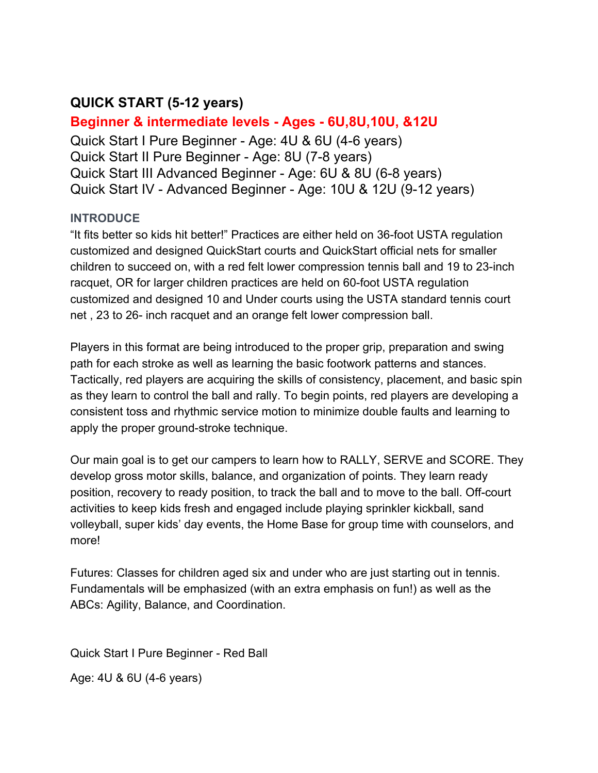# **QUICK START (5-12 years)**

**Beginner & intermediate levels - Ages - 6U,8U,10U, &12U** Quick Start I Pure Beginner - Age: 4U & 6U (4-6 years) Quick Start II Pure Beginner - Age: 8U (7-8 years) Quick Start III Advanced Beginner - Age: 6U & 8U (6-8 years) Quick Start IV - Advanced Beginner - Age: 10U & 12U (9-12 years)

## **INTRODUCE**

"It fits better so kids hit better!" Practices are either held on 36-foot USTA regulation customized and designed QuickStart courts and QuickStart official nets for smaller children to succeed on, with a red felt lower compression tennis ball and 19 to 23-inch racquet, OR for larger children practices are held on 60-foot USTA regulation customized and designed 10 and Under courts using the USTA standard tennis court net , 23 to 26- inch racquet and an orange felt lower compression ball.

Players in this format are being introduced to the proper grip, preparation and swing path for each stroke as well as learning the basic footwork patterns and stances. Tactically, red players are acquiring the skills of consistency, placement, and basic spin as they learn to control the ball and rally. To begin points, red players are developing a consistent toss and rhythmic service motion to minimize double faults and learning to apply the proper ground-stroke technique.

Our main goal is to get our campers to learn how to RALLY, SERVE and SCORE. They develop gross motor skills, balance, and organization of points. They learn ready position, recovery to ready position, to track the ball and to move to the ball. Off-court activities to keep kids fresh and engaged include playing sprinkler kickball, sand volleyball, super kids' day events, the Home Base for group time with counselors, and more!

Futures: Classes for children aged six and under who are just starting out in tennis. Fundamentals will be emphasized (with an extra emphasis on fun!) as well as the ABCs: Agility, Balance, and Coordination.

Quick Start I Pure Beginner - Red Ball

Age: 4U & 6U (4-6 years)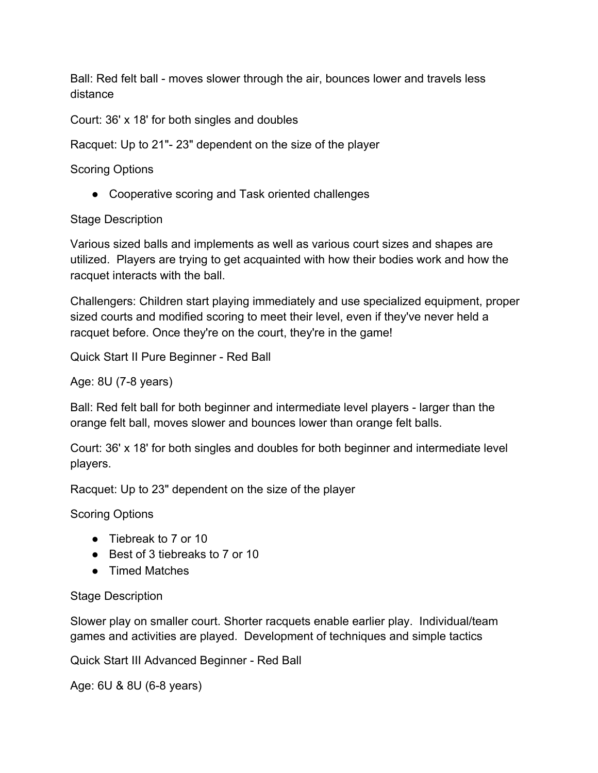Ball: Red felt ball - moves slower through the air, bounces lower and travels less distance

Court: 36' x 18' for both singles and doubles

Racquet: Up to 21"- 23" dependent on the size of the player

Scoring Options

• Cooperative scoring and Task oriented challenges

### Stage Description

Various sized balls and implements as well as various court sizes and shapes are utilized. Players are trying to get acquainted with how their bodies work and how the racquet interacts with the ball.

Challengers: Children start playing immediately and use specialized equipment, proper sized courts and modified scoring to meet their level, even if they've never held a racquet before. Once they're on the court, they're in the game!

Quick Start II Pure Beginner - Red Ball

Age: 8U (7-8 years)

Ball: Red felt ball for both beginner and intermediate level players - larger than the orange felt ball, moves slower and bounces lower than orange felt balls.

Court: 36' x 18' for both singles and doubles for both beginner and intermediate level players.

Racquet: Up to 23" dependent on the size of the player

Scoring Options

- Tiebreak to 7 or 10
- Best of 3 tiebreaks to 7 or 10
- Timed Matches

#### Stage Description

Slower play on smaller court. Shorter racquets enable earlier play. Individual/team games and activities are played. Development of techniques and simple tactics

Quick Start III Advanced Beginner - Red Ball

Age: 6U & 8U (6-8 years)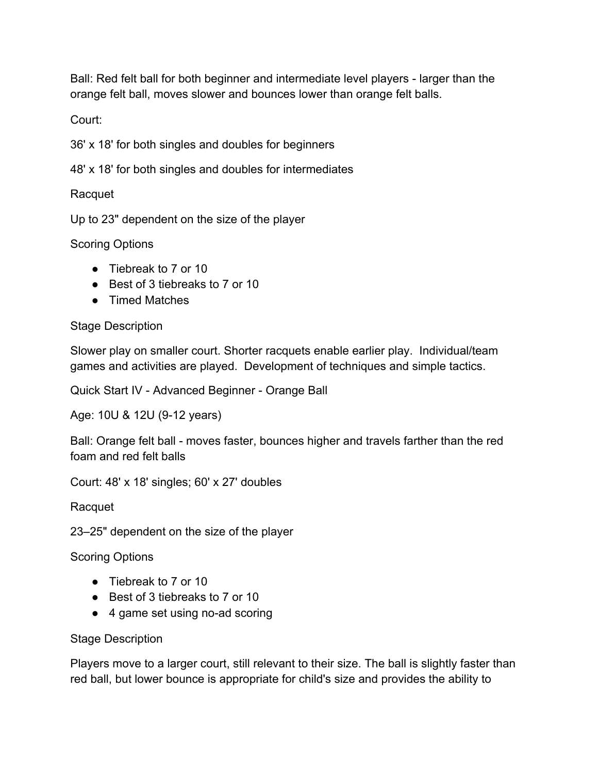Ball: Red felt ball for both beginner and intermediate level players - larger than the orange felt ball, moves slower and bounces lower than orange felt balls.

Court:

36' x 18' for both singles and doubles for beginners

48' x 18' for both singles and doubles for intermediates

Racquet

Up to 23" dependent on the size of the player

Scoring Options

- Tiebreak to 7 or 10
- Best of 3 tiebreaks to 7 or 10
- Timed Matches

## Stage Description

Slower play on smaller court. Shorter racquets enable earlier play. Individual/team games and activities are played. Development of techniques and simple tactics.

Quick Start IV - Advanced Beginner - Orange Ball

Age: 10U & 12U (9-12 years)

Ball: Orange felt ball - moves faster, bounces higher and travels farther than the red foam and red felt balls

Court: 48' x 18' singles; 60' x 27' doubles

Racquet

23–25" dependent on the size of the player

Scoring Options

- Tiebreak to 7 or 10
- Best of 3 tiebreaks to 7 or 10
- 4 game set using no-ad scoring

## Stage Description

Players move to a larger court, still relevant to their size. The ball is slightly faster than red ball, but lower bounce is appropriate for child's size and provides the ability to